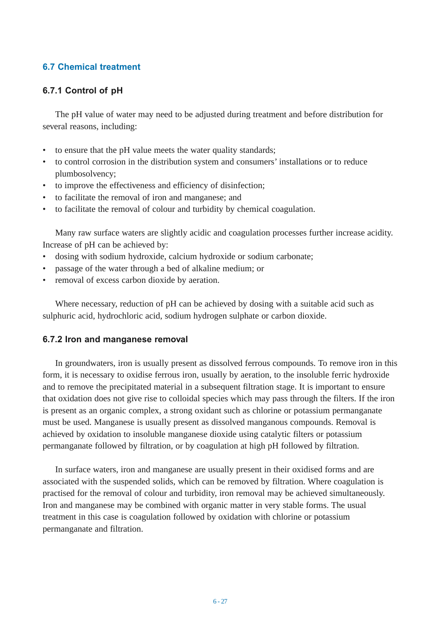# **6.7 Chemical treatment**

## **6.7.1 Control of pH**

The pH value of water may need to be adjusted during treatment and before distribution for several reasons, including:

- to ensure that the pH value meets the water quality standards;
- to control corrosion in the distribution system and consumers' installations or to reduce plumbosolvency;
- to improve the effectiveness and efficiency of disinfection;
- to facilitate the removal of iron and manganese; and
- to facilitate the removal of colour and turbidity by chemical coagulation.

Many raw surface waters are slightly acidic and coagulation processes further increase acidity. Increase of pH can be achieved by:

- dosing with sodium hydroxide, calcium hydroxide or sodium carbonate;
- passage of the water through a bed of alkaline medium; or
- removal of excess carbon dioxide by aeration.

Where necessary, reduction of pH can be achieved by dosing with a suitable acid such as sulphuric acid, hydrochloric acid, sodium hydrogen sulphate or carbon dioxide.

### **6.7.2 Iron and manganese removal**

In groundwaters, iron is usually present as dissolved ferrous compounds. To remove iron in this form, it is necessary to oxidise ferrous iron, usually by aeration, to the insoluble ferric hydroxide and to remove the precipitated material in a subsequent filtration stage. It is important to ensure that oxidation does not give rise to colloidal species which may pass through the filters. If the iron is present as an organic complex, a strong oxidant such as chlorine or potassium permanganate must be used. Manganese is usually present as dissolved manganous compounds. Removal is achieved by oxidation to insoluble manganese dioxide using catalytic filters or potassium permanganate followed by filtration, or by coagulation at high pH followed by filtration.

In surface waters, iron and manganese are usually present in their oxidised forms and are associated with the suspended solids, which can be removed by filtration. Where coagulation is practised for the removal of colour and turbidity, iron removal may be achieved simultaneously. Iron and manganese may be combined with organic matter in very stable forms. The usual treatment in this case is coagulation followed by oxidation with chlorine or potassium permanganate and filtration.